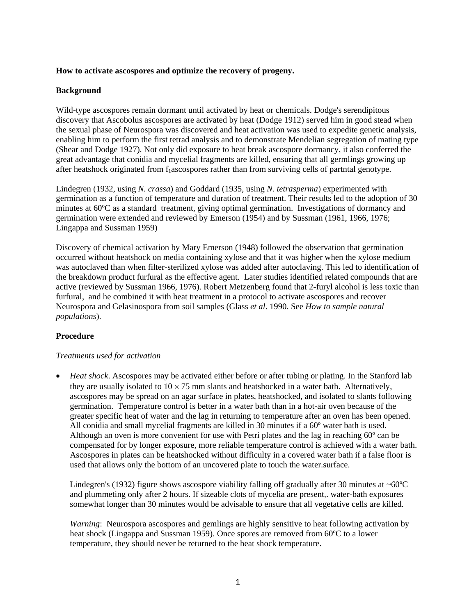## **How to activate ascospores and optimize the recovery of progeny.**

## **Background**

Wild-type ascospores remain dormant until activated by heat or chemicals. Dodge's serendipitous discovery that Ascobolus ascospores are activated by heat (Dodge 1912) served him in good stead when the sexual phase of Neurospora was discovered and heat activation was used to expedite genetic analysis, enabling him to perform the first tetrad analysis and to demonstrate Mendelian segregation of mating type (Shear and Dodge 1927). Not only did exposure to heat break ascospore dormancy, it also conferred the great advantage that conidia and mycelial fragments are killed, ensuring that all germlings growing up after heatshock originated from  $f_1$ ascospores rather than from surviving cells of partntal genotype.

Lindegren (1932, using *N. crassa*) and Goddard (1935, using *N. tetrasperma*) experimented with germination as a function of temperature and duration of treatment. Their results led to the adoption of 30 minutes at 60ºC as a standard treatment, giving optimal germination. Investigations of dormancy and germination were extended and reviewed by Emerson (1954) and by Sussman (1961, 1966, 1976; Lingappa and Sussman 1959)

Discovery of chemical activation by Mary Emerson (1948) followed the observation that germination occurred without heatshock on media containing xylose and that it was higher when the xylose medium was autoclaved than when filter-sterilized xylose was added after autoclaving. This led to identification of the breakdown product furfural as the effective agent. Later studies identified related compounds that are active (reviewed by Sussman 1966, 1976). Robert Metzenberg found that 2-furyl alcohol is less toxic than furfural, and he combined it with heat treatment in a protocol to activate ascospores and recover Neurospora and Gelasinospora from soil samples (Glass *et al*. 1990. See *How to sample natural populations*).

# **Procedure**

### *Treatments used for activation*

• *Heat shock*. Ascospores may be activated either before or after tubing or plating. In the Stanford lab they are usually isolated to  $10 \times 75$  mm slants and heatshocked in a water bath. Alternatively, ascospores may be spread on an agar surface in plates, heatshocked, and isolated to slants following germination. Temperature control is better in a water bath than in a hot-air oven because of the greater specific heat of water and the lag in returning to temperature after an oven has been opened. All conidia and small mycelial fragments are killed in 30 minutes if a 60º water bath is used. Although an oven is more convenient for use with Petri plates and the lag in reaching 60º can be compensated for by longer exposure, more reliable temperature control is achieved with a water bath. Ascospores in plates can be heatshocked without difficulty in a covered water bath if a false floor is used that allows only the bottom of an uncovered plate to touch the water.surface.

Lindegren's (1932) figure shows ascospore viability falling off gradually after 30 minutes at  $\sim 60^{\circ}$ C and plummeting only after 2 hours. If sizeable clots of mycelia are present,. water-bath exposures somewhat longer than 30 minutes would be advisable to ensure that all vegetative cells are killed.

*Warning*: Neurospora ascospores and gemlings are highly sensitive to heat following activation by heat shock (Lingappa and Sussman 1959). Once spores are removed from 60ºC to a lower temperature, they should never be returned to the heat shock temperature.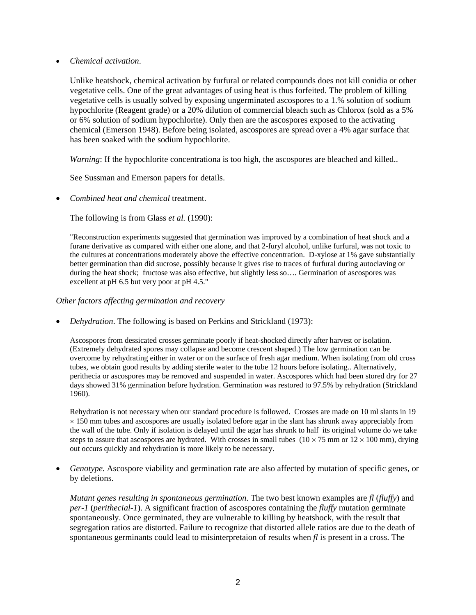• *Chemical activation*.

Unlike heatshock, chemical activation by furfural or related compounds does not kill conidia or other vegetative cells. One of the great advantages of using heat is thus forfeited. The problem of killing vegetative cells is usually solved by exposing ungerminated ascospores to a 1.% solution of sodium hypochlorite (Reagent grade) or a 20% dilution of commercial bleach such as Chlorox (sold as a 5% or 6% solution of sodium hypochlorite). Only then are the ascospores exposed to the activating chemical (Emerson 1948). Before being isolated, ascospores are spread over a 4% agar surface that has been soaked with the sodium hypochlorite.

*Warning*: If the hypochlorite concentrationa is too high, the ascospores are bleached and killed..

See Sussman and Emerson papers for details.

• *Combined heat and chemical* treatment.

The following is from Glass *et al.* (1990):

"Reconstruction experiments suggested that germination was improved by a combination of heat shock and a furane derivative as compared with either one alone, and that 2-furyl alcohol, unlike furfural, was not toxic to the cultures at concentrations moderately above the effective concentration. D-xylose at 1% gave substantially better germination than did sucrose, possibly because it gives rise to traces of furfural during autoclaving or during the heat shock; fructose was also effective, but slightly less so.... Germination of ascospores was excellent at pH 6.5 but very poor at pH 4.5."

*Other factors affecting germination and recovery* 

• *Dehydration*. The following is based on Perkins and Strickland (1973):

Ascospores from dessicated crosses germinate poorly if heat-shocked directly after harvest or isolation. (Extremely dehydrated spores may collapse and become crescent shaped.) The low germination can be overcome by rehydrating either in water or on the surface of fresh agar medium. When isolating from old cross tubes, we obtain good results by adding sterile water to the tube 12 hours before isolating.. Alternatively, perithecia or ascospores may be removed and suspended in water. Ascospores which had been stored dry for 27 days showed 31% germination before hydration. Germination was restored to 97.5% by rehydration (Strickland 1960).

Rehydration is not necessary when our standard procedure is followed. Crosses are made on 10 ml slants in 19 × 150 mm tubes and ascospores are usually isolated before agar in the slant has shrunk away appreciably from the wall of the tube. Only if isolation is delayed until the agar has shrunk to half its original volume do we take steps to assure that ascospores are hydrated. With crosses in small tubes  $(10 \times 75 \text{ mm or } 12 \times 100 \text{ mm})$ , drying out occurs quickly and rehydration is more likely to be necessary.

• *Genotype*. Ascospore viability and germination rate are also affected by mutation of specific genes, or by deletions.

*Mutant genes resulting in spontaneous germination*. The two best known examples are *fl* (*fluffy*) and *per-1* (*perithecial-1*). A significant fraction of ascospores containing the *fluffy* mutation germinate spontaneously. Once germinated, they are vulnerable to killing by heatshock, with the result that segregation ratios are distorted. Failure to recognize that distorted allele ratios are due to the death of spontaneous germinants could lead to misinterpretaion of results when *fl* is present in a cross. The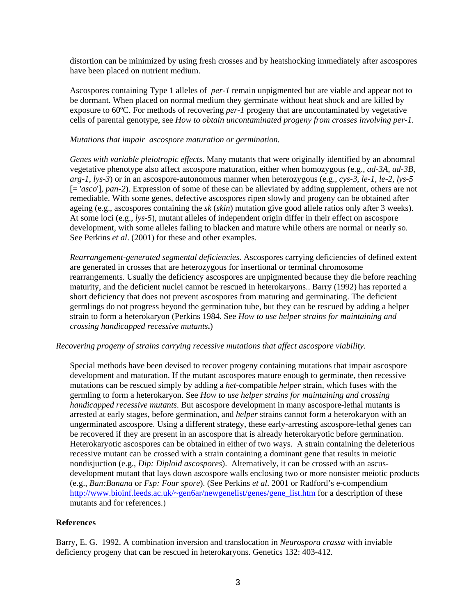distortion can be minimized by using fresh crosses and by heatshocking immediately after ascospores have been placed on nutrient medium.

Ascospores containing Type 1 alleles of *per-1* remain unpigmented but are viable and appear not to be dormant. When placed on normal medium they germinate without heat shock and are killed by exposure to 60ºC. For methods of recovering *per-1* progeny that are uncontaminated by vegetative cells of parental genotype, see *How to obtain uncontaminated progeny from crosses involving per-1.* 

#### *Mutations that impair ascospore maturation or germination.*

*Genes with variable pleiotropic effects*. Many mutants that were originally identified by an abnomral vegetative phenotype also affect ascospore maturation, either when homozygous (e.g., *ad-3A*, *ad-3B*, *arg-1*, *lys-3*) or in an ascospore-autonomous manner when heterozygous (e.g., *cys-3*, *le-1*, *le-2*, *lys-5* [= '*asco*'], *pan-2*). Expression of some of these can be alleviated by adding supplement, others are not remediable. With some genes, defective ascospores ripen slowly and progeny can be obtained after ageing (e.g., ascospores containing the *sk* (*skin*) mutation give good allele ratios only after 3 weeks). At some loci (e.g., *lys-5*), mutant alleles of independent origin differ in their effect on ascospore development, with some alleles failing to blacken and mature while others are normal or nearly so. See Perkins *et al*. (2001) for these and other examples.

*Rearrangement-generated segmental deficiencies.* Ascospores carrying deficiencies of defined extent are generated in crosses that are heterozygous for insertional or terminal chromosome rearrangements. Usually the deficiency ascospores are unpigmented because they die before reaching maturity, and the deficient nuclei cannot be rescued in heterokaryons.. Barry (1992) has reported a short deficiency that does not prevent ascospores from maturing and germinating. The deficient germlings do not progress beyond the germination tube, but they can be rescued by adding a helper strain to form a heterokaryon (Perkins 1984. See *How to use helper strains for maintaining and crossing handicapped recessive mutants***.**)

#### *Recovering progeny of strains carrying recessive mutations that affect ascospore viability*.

Special methods have been devised to recover progeny containing mutations that impair ascospore development and maturation. If the mutant ascospores mature enough to germinate, then recessive mutations can be rescued simply by adding a *het*-compatible *helper* strain, which fuses with the germling to form a heterokaryon. See *How to use helper strains for maintaining and crossing handicapped recessive mutants*. But ascospore development in many ascospore-lethal mutants is arrested at early stages, before germination, and *helper* strains cannot form a heterokaryon with an ungerminated ascospore. Using a different strategy, these early-arresting ascospore-lethal genes can be recovered if they are present in an ascospore that is already heterokaryotic before germination. Heterokaryotic ascospores can be obtained in either of two ways. A strain containing the deleterious recessive mutant can be crossed with a strain containing a dominant gene that results in meiotic nondisjuction (e.g., *Dip: Diploid ascospores*). Alternatively, it can be crossed with an ascusdevelopment mutant that lays down ascospore walls enclosing two or more nonsister meiotic products (e.g., *Ban:Banana* or *Fsp: Four spore*). (See Perkins *et al*. 2001 or Radford's e-compendium [http://www.bioinf.leeds.ac.uk/~gen6ar/newgenelist/genes/gene\\_list.htm](http://www.bioinf.leeds.ac.uk/~gen6ar/newgenelist/genes/gene_list.htm) for a description of these mutants and for references.)

#### **References**

Barry, E. G. 1992. A combination inversion and translocation in *Neurospora crassa* with inviable deficiency progeny that can be rescued in heterokaryons. Genetics 132: 403-412.